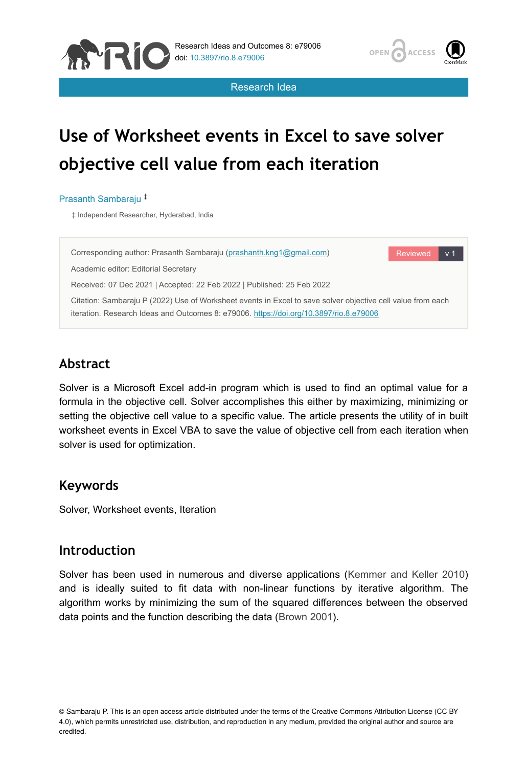



Research Idea

# **Use of Worksheet events in Excel to save solver objective cell value from each iteration**

#### Prasanth Sambaraju ‡

‡ Independent Researcher, Hyderabad, India



# **Abstract**

Solver is a Microsoft Excel add-in program which is used to find an optimal value for a formula in the objective cell. Solver accomplishes this either by maximizing, minimizing or setting the objective cell value to a specific value. The article presents the utility of in built worksheet events in Excel VBA to save the value of objective cell from each iteration when solver is used for optimization.

### **Keywords**

Solver, Worksheet events, Iteration

## **Introduction**

Solver has been used in numerous and diverse applications ([Kemmer and Keller 2010](#page-4-0)) and is ideally suited to fit data with non-linear functions by iterative algorithm. The algorithm works by minimizing the sum of the squared differences between the observed data points and the function describing the data ([Brown 2001](#page-4-1)).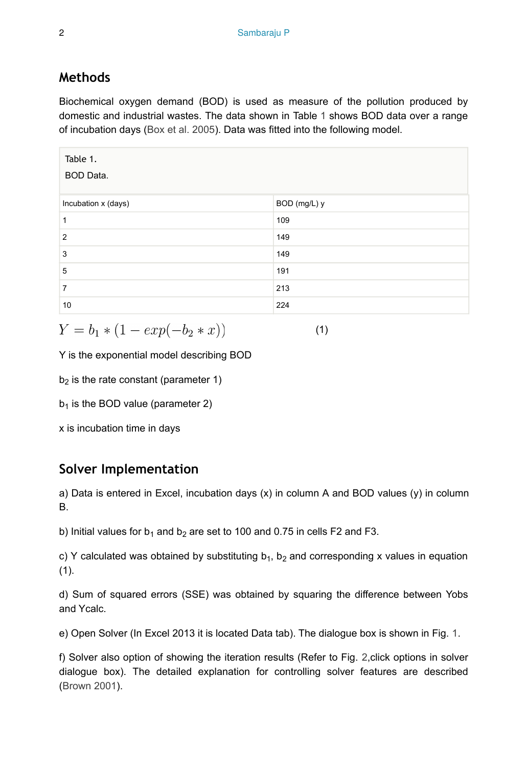# **Methods**

Biochemical oxygen demand (BOD) is used as measure of the pollution produced by domestic and industrial wastes. The data shown in Table [1](#page-1-0) shows BOD data over a range of incubation days [\(Box et al. 2005\)](#page-4-2). Data was fitted into the following model.

<span id="page-1-0"></span>

| Table 1.<br>BOD Data. |              |
|-----------------------|--------------|
| Incubation x (days)   | BOD (mg/L) y |
| 1                     | 109          |
| $\overline{2}$        | 149          |
| 3                     | 149          |
| 5                     | 191          |
| $\overline{7}$        | 213          |
| 10                    | 224          |

$$
Y = b_1 * (1 - exp(-b_2 * x))
$$

(1)

Y is the exponential model describing BOD

 $b<sub>2</sub>$  is the rate constant (parameter 1)

 $b_1$  is the BOD value (parameter 2)

x is incubation time in days

# **Solver Implementation**

a) Data is entered in Excel, incubation days (x) in column A and BOD values (y) in column B.

b) Initial values for  $b_1$  and  $b_2$  are set to 100 and 0.75 in cells F2 and F3.

c) Y calculated was obtained by substituting  $b_1$ ,  $b_2$  and corresponding x values in equation  $(1).$ 

d) Sum of squared errors (SSE) was obtained by squaring the difference between Yobs and Ycalc.

e) Open Solver (In Excel 2013 it is located Data tab). The dialogue box is shown in Fig. [1.](#page-2-0)

f) Solver also option of showing the iteration results (Refer to Fig. [2,](#page-2-1)click options in solver dialogue box). The detailed explanation for controlling solver features are described [\(Brown 2001](#page-4-1)).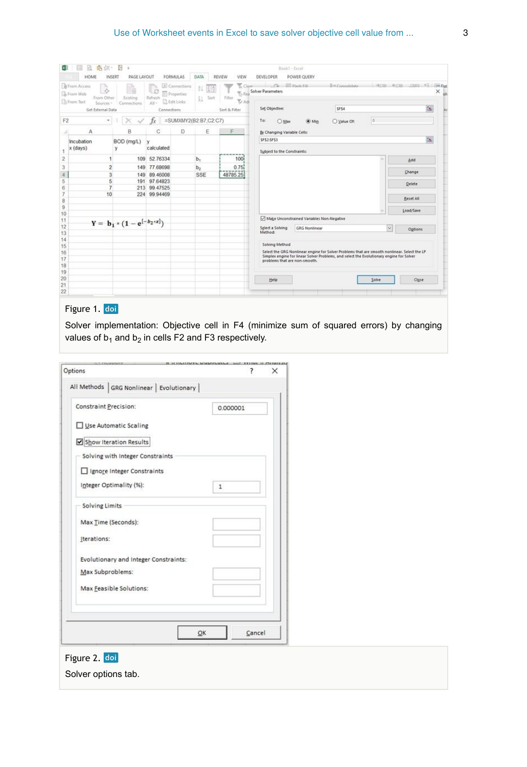#### Use of Worksheet events in Excel to save solver objective cell value from ... 3

<span id="page-2-0"></span>

|                     | HOME<br>INSERT                                                                                                  | G<br>à.<br><b>PAGE LAYOUT</b>    |                          | FORMULAS                                                        | <b>DATA</b>           |            | REVIEW<br>VIEW                                               | Book1 - Excel<br>DEVELOPER                                | POWER QUERY                               |                        |   |                                                                                                                                                                                                                                                                                                                                                  |  |
|---------------------|-----------------------------------------------------------------------------------------------------------------|----------------------------------|--------------------------|-----------------------------------------------------------------|-----------------------|------------|--------------------------------------------------------------|-----------------------------------------------------------|-------------------------------------------|------------------------|---|--------------------------------------------------------------------------------------------------------------------------------------------------------------------------------------------------------------------------------------------------------------------------------------------------------------------------------------------------|--|
|                     | <b>B</b> From Access<br><b>B</b> From Web<br>From Other<br><b>Ch</b> From Text<br>Sources-<br>Get External Data | Existing<br>Connections          | L O<br>Refresh<br>$AB +$ | Connections<br>Properties<br><b>C</b> Edit Links<br>Connections | ĝŢ.                   | 중증<br>Sort | Clean-<br>$\%$ Rea<br>Filter<br><b>ZAdv</b><br>Sort & Filter | Co. Elizabeth Fill<br>Solver Parameters<br>Set Objective: |                                           | B-BConcolidate<br>SFS4 |   |                                                                                                                                                                                                                                                                                                                                                  |  |
| F <sub>2</sub>      | ٠                                                                                                               |                                  | Тv                       | =SUMXMY2(B2:B7,C2:C7)                                           |                       |            |                                                              | To:<br>O Max                                              | $\circledcirc$ Min                        | O Value Of:            | o |                                                                                                                                                                                                                                                                                                                                                  |  |
|                     | Α                                                                                                               | B                                | C                        | D                                                               |                       | E          | F                                                            | By Changing Variable Cells:                               |                                           |                        |   | <b>HERE GEES LIBRE AT 1940 Dat</b><br>$\times$ ob<br>蒾<br>医<br>Add<br>Change<br>Delete<br>Reset All<br>Load/Save<br>v.<br>Options:<br>Select the GRG Nonlinear engine for Solver Problems that are smooth nonlinear. Select the LP<br>Simplex engine for linear Solver Problems, and select the Evolutionary engine for Solver<br>Close<br>Solve |  |
| 1                   | Incubation<br>$x$ (days)                                                                                        | BOD (mg/L)<br>y                  | v<br>calculated          |                                                                 |                       |            |                                                              | <b>SFS2-SFS3</b><br>Subject to the Constraints:           |                                           |                        |   |                                                                                                                                                                                                                                                                                                                                                  |  |
| $\overline{2}$      |                                                                                                                 |                                  | 109 52.76334             |                                                                 | b.                    |            | 100                                                          |                                                           |                                           |                        |   |                                                                                                                                                                                                                                                                                                                                                  |  |
| 3<br>$\overline{4}$ | $\overline{\mathbf{2}}$<br>3                                                                                    | 149<br>149                       | 77,68698<br>89,46008     |                                                                 | b <sub>2</sub><br>SSE |            | 0.75<br>48785.25                                             |                                                           |                                           |                        |   |                                                                                                                                                                                                                                                                                                                                                  |  |
| 5<br>6              | 5<br>$\overline{7}$                                                                                             | 213                              | 191 97 64823<br>99.47525 |                                                                 |                       |            |                                                              |                                                           |                                           |                        |   |                                                                                                                                                                                                                                                                                                                                                  |  |
| $\overline{7}$<br>8 | 10                                                                                                              | 224                              | 99.94469                 |                                                                 |                       |            |                                                              |                                                           |                                           |                        |   |                                                                                                                                                                                                                                                                                                                                                  |  |
| $\,$<br>10          |                                                                                                                 |                                  |                          |                                                                 |                       |            |                                                              |                                                           |                                           |                        |   |                                                                                                                                                                                                                                                                                                                                                  |  |
| 11                  |                                                                                                                 |                                  |                          |                                                                 |                       |            |                                                              |                                                           | Make Unconstrained Variables Non-Negative |                        |   |                                                                                                                                                                                                                                                                                                                                                  |  |
| 12<br>13            |                                                                                                                 | $Y = b_1 * (1 - e^{[-b_2 * x]})$ |                          |                                                                 |                       |            |                                                              | Select a Solving<br>Method:                               | <b>GRG Nonlinear</b>                      |                        |   |                                                                                                                                                                                                                                                                                                                                                  |  |
| 14                  |                                                                                                                 |                                  |                          |                                                                 |                       |            |                                                              |                                                           |                                           |                        |   |                                                                                                                                                                                                                                                                                                                                                  |  |
| 15                  |                                                                                                                 |                                  |                          |                                                                 |                       |            |                                                              | Solving Method                                            |                                           |                        |   |                                                                                                                                                                                                                                                                                                                                                  |  |
| 16<br>17            |                                                                                                                 |                                  |                          |                                                                 |                       |            |                                                              | problems that are non-smooth.                             |                                           |                        |   |                                                                                                                                                                                                                                                                                                                                                  |  |
| 18                  |                                                                                                                 |                                  |                          |                                                                 |                       |            |                                                              |                                                           |                                           |                        |   |                                                                                                                                                                                                                                                                                                                                                  |  |
| 19<br>20<br>21      |                                                                                                                 |                                  |                          |                                                                 |                       |            |                                                              | Help                                                      |                                           |                        |   |                                                                                                                                                                                                                                                                                                                                                  |  |
| 22                  |                                                                                                                 |                                  |                          |                                                                 |                       |            |                                                              |                                                           |                                           |                        |   |                                                                                                                                                                                                                                                                                                                                                  |  |

## Figure 1. doi

Solver implementation: Objective cell in F4 (minimize sum of squared errors) by changing values of  $b_1$  and  $b_2$  in cells F2 and F3 respectively.

<span id="page-2-1"></span>

| Options                                    |              | ×      |
|--------------------------------------------|--------------|--------|
| All Methods   GRG Nonlinear   Evolutionary |              |        |
| <b>Constraint Precision:</b>               | 0.000001     |        |
| Use Automatic Scaling                      |              |        |
| Show Iteration Results                     |              |        |
| Solving with Integer Constraints           |              |        |
| Ignore Integer Constraints                 |              |        |
| Integer Optimality (%):                    | $\mathbf{1}$ |        |
| Solving Limits                             |              |        |
| Max Time (Seconds):                        |              |        |
| Iterations:                                |              |        |
| Evolutionary and Integer Constraints:      |              |        |
| Max Subproblems:                           |              |        |
| Max Feasible Solutions:                    |              |        |
|                                            |              |        |
|                                            |              |        |
|                                            | OK           | Cancel |

Solver options tab.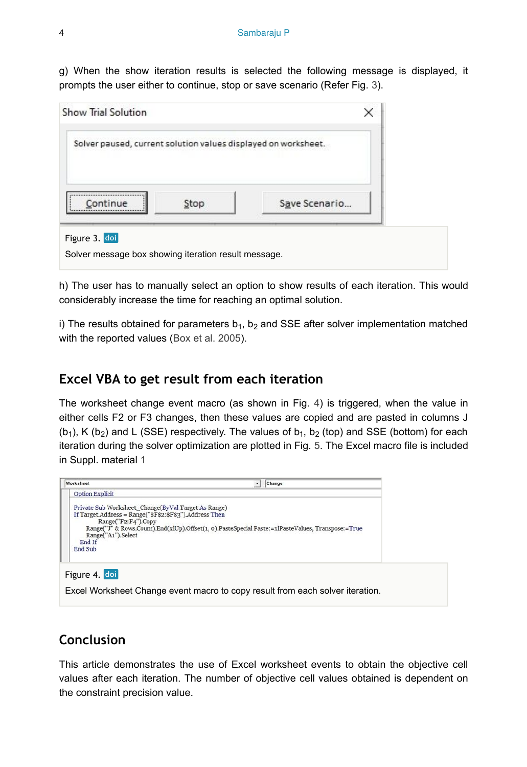g) When the show iteration results is selected the following message is displayed, it prompts the user either to continue, stop or save scenario (Refer Fig. [3\)](#page-3-0).

<span id="page-3-0"></span>

h) The user has to manually select an option to show results of each iteration. This would considerably increase the time for reaching an optimal solution.

i) The results obtained for parameters  $b_1$ ,  $b_2$  and SSE after solver implementation matched with the reported values [\(Box et al. 2005\)](#page-4-2).

### **Excel VBA to get result from each iteration**

The worksheet change event macro (as shown in Fig. [4\)](#page-3-1) is triggered, when the value in either cells F2 or F3 changes, then these values are copied and are pasted in columns J  $(b_1)$ , K  $(b_2)$  and L (SSE) respectively. The values of  $b_1$ ,  $b_2$  (top) and SSE (bottom) for each iteration during the solver optimization are plotted in Fig. [5.](#page-4-3) The Excel macro file is included in Suppl. material [1](#page-5-0)

<span id="page-3-1"></span>

# **Conclusion**

This article demonstrates the use of Excel worksheet events to obtain the objective cell values after each iteration. The number of objective cell values obtained is dependent on the constraint precision value.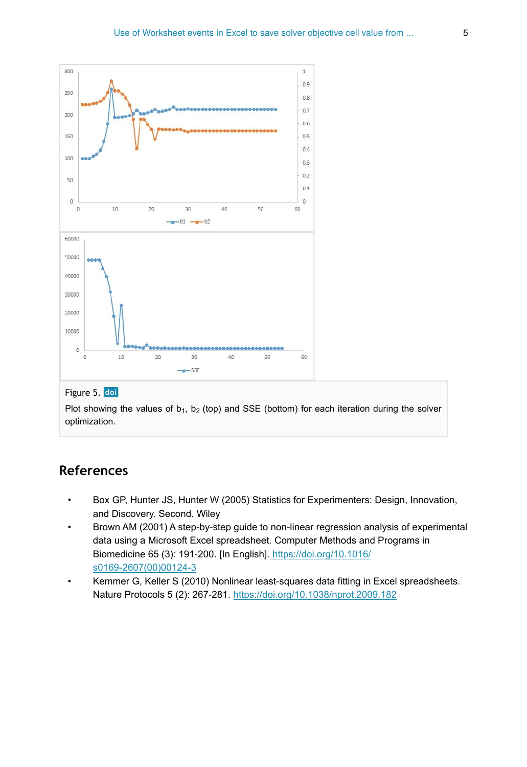<span id="page-4-3"></span>

#### Figure 5. doi

Plot showing the values of  $b_1$ ,  $b_2$  (top) and SSE (bottom) for each iteration during the solver optimization.

## **References**

- <span id="page-4-2"></span>• Box GP, Hunter JS, Hunter W (2005) Statistics for Experimenters: Design, Innovation, and Discovery. Second. Wiley
- <span id="page-4-1"></span>• Brown AM (2001) A step-by-step guide to non-linear regression analysis of experimental data using a Microsoft Excel spreadsheet. Computer Methods and Programs in Biomedicine 65 (3): 191‑200. [In English][. https://doi.org/10.1016/](https://doi.org/10.1016/s0169-2607(00)00124-3) [s0169-2607\(00\)00124-3](https://doi.org/10.1016/s0169-2607(00)00124-3)
- <span id="page-4-0"></span>• Kemmer G, Keller S (2010) Nonlinear least-squares data fitting in Excel spreadsheets. Nature Protocols 5 (2): 267‑281. <https://doi.org/10.1038/nprot.2009.182>